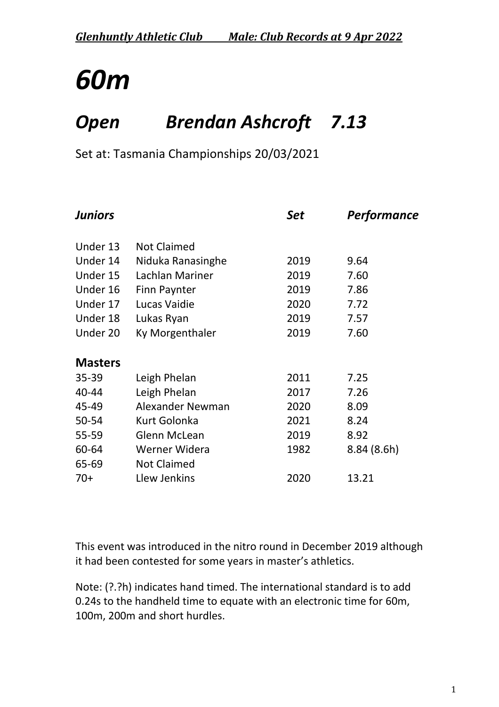### *Open Brendan Ashcroft 7.13*

Set at: Tasmania Championships 20/03/2021

| <b>Juniors</b> |                     | <b>Set</b> | <b>Performance</b> |
|----------------|---------------------|------------|--------------------|
| Under 13       | <b>Not Claimed</b>  |            |                    |
| Under 14       | Niduka Ranasinghe   | 2019       | 9.64               |
| Under 15       | Lachlan Mariner     | 2019       | 7.60               |
| Under 16       | <b>Finn Paynter</b> | 2019       | 7.86               |
| Under 17       | Lucas Vaidie        | 2020       | 7.72               |
| Under 18       | Lukas Ryan          | 2019       | 7.57               |
| Under 20       | Ky Morgenthaler     | 2019       | 7.60               |
|                |                     |            |                    |
| <b>Masters</b> |                     |            |                    |
| $35 - 39$      | Leigh Phelan        | 2011       | 7.25               |
| 40-44          | Leigh Phelan        | 2017       | 7.26               |
| 45-49          | Alexander Newman    | 2020       | 8.09               |
| 50-54          | Kurt Golonka        | 2021       | 8.24               |
| 55-59          | <b>Glenn McLean</b> | 2019       | 8.92               |
| 60-64          | Werner Widera       | 1982       | 8.84(8.6h)         |
| 65-69          | <b>Not Claimed</b>  |            |                    |
| $70+$          | Llew Jenkins        | 2020       | 13.21              |

This event was introduced in the nitro round in December 2019 although it had been contested for some years in master's athletics.

Note: (?.?h) indicates hand timed. The international standard is to add 0.24s to the handheld time to equate with an electronic time for 60m, 100m, 200m and short hurdles.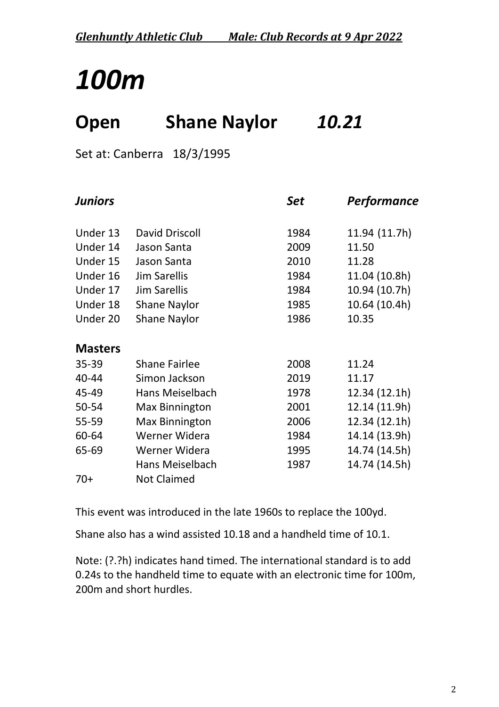### **Open Shane Naylor** *10.21*

Set at: Canberra 18/3/1995

| <b>Juniors</b> |                       | Set  | <b>Performance</b> |
|----------------|-----------------------|------|--------------------|
| Under 13       | David Driscoll        | 1984 | 11.94 (11.7h)      |
| Under 14       | Jason Santa           | 2009 | 11.50              |
| Under 15       | Jason Santa           | 2010 | 11.28              |
| Under 16       | <b>Jim Sarellis</b>   | 1984 | 11.04 (10.8h)      |
| Under 17       | <b>Jim Sarellis</b>   | 1984 | 10.94 (10.7h)      |
| Under 18       | <b>Shane Naylor</b>   | 1985 | 10.64 (10.4h)      |
| Under 20       | <b>Shane Naylor</b>   | 1986 | 10.35              |
| <b>Masters</b> |                       |      |                    |
| $35 - 39$      | <b>Shane Fairlee</b>  | 2008 | 11.24              |
| 40-44          | Simon Jackson         | 2019 | 11.17              |
| 45-49          | Hans Meiselbach       | 1978 | 12.34 (12.1h)      |
| 50-54          | <b>Max Binnington</b> | 2001 | 12.14 (11.9h)      |
| 55-59          | <b>Max Binnington</b> | 2006 | 12.34 (12.1h)      |
| 60-64          | Werner Widera         | 1984 | 14.14 (13.9h)      |
| 65-69          | Werner Widera         | 1995 | 14.74 (14.5h)      |
|                | Hans Meiselbach       | 1987 | 14.74 (14.5h)      |
| $70+$          | <b>Not Claimed</b>    |      |                    |

This event was introduced in the late 1960s to replace the 100yd.

Shane also has a wind assisted 10.18 and a handheld time of 10.1.

Note: (?.?h) indicates hand timed. The international standard is to add 0.24s to the handheld time to equate with an electronic time for 100m, 200m and short hurdles.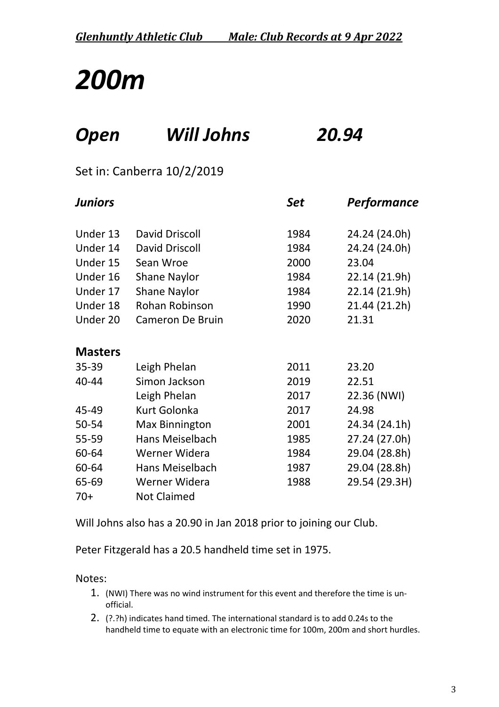### *Open Will Johns 20.94*

#### Set in: Canberra 10/2/2019

| <b>Juniors</b> |                       | <b>Set</b> | Performance   |
|----------------|-----------------------|------------|---------------|
| Under 13       | David Driscoll        | 1984       | 24.24 (24.0h) |
| Under 14       | David Driscoll        | 1984       | 24.24 (24.0h) |
| Under 15       | Sean Wroe             | 2000       | 23.04         |
| Under 16       | <b>Shane Naylor</b>   | 1984       | 22.14 (21.9h) |
| Under 17       | <b>Shane Naylor</b>   | 1984       | 22.14 (21.9h) |
| Under 18       | <b>Rohan Robinson</b> | 1990       | 21.44 (21.2h) |
| Under 20       | Cameron De Bruin      | 2020       | 21.31         |
| <b>Masters</b> |                       |            |               |
| 35-39          | Leigh Phelan          | 2011       | 23.20         |
| 40-44          | Simon Jackson         | 2019       | 22.51         |
|                | Leigh Phelan          | 2017       | 22.36 (NWI)   |
| 45-49          | <b>Kurt Golonka</b>   | 2017       | 24.98         |
| 50-54          | <b>Max Binnington</b> | 2001       | 24.34 (24.1h) |
| 55-59          | Hans Meiselbach       | 1985       | 27.24 (27.0h) |
| 60-64          | Werner Widera         | 1984       | 29.04 (28.8h) |
| 60-64          | Hans Meiselbach       | 1987       | 29.04 (28.8h) |
| 65-69          | Werner Widera         | 1988       | 29.54 (29.3H) |
| $70+$          | <b>Not Claimed</b>    |            |               |

Will Johns also has a 20.90 in Jan 2018 prior to joining our Club.

Peter Fitzgerald has a 20.5 handheld time set in 1975.

#### Notes:

- 1. (NWI) There was no wind instrument for this event and therefore the time is unofficial.
- 2. (?.?h) indicates hand timed. The international standard is to add 0.24s to the handheld time to equate with an electronic time for 100m, 200m and short hurdles.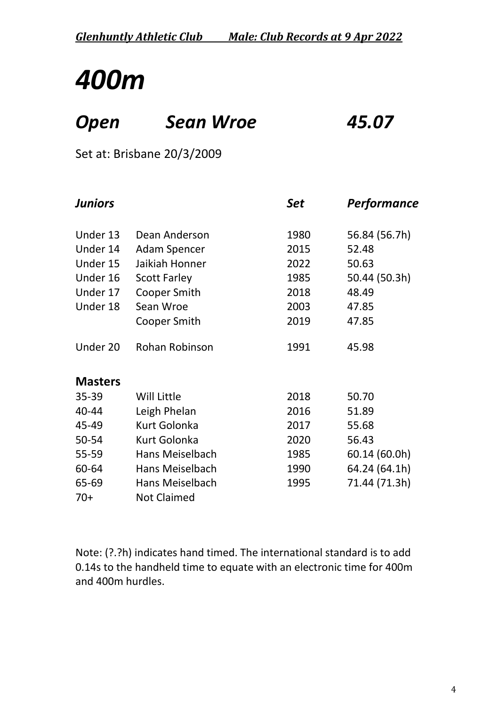### *Open Sean Wroe 45.07*

Set at: Brisbane 20/3/2009

| <b>Juniors</b> |                     | Set  | <b>Performance</b> |
|----------------|---------------------|------|--------------------|
| Under 13       | Dean Anderson       | 1980 | 56.84 (56.7h)      |
| Under 14       | <b>Adam Spencer</b> | 2015 | 52.48              |
| Under 15       | Jaikiah Honner      | 2022 | 50.63              |
| Under 16       | <b>Scott Farley</b> | 1985 | 50.44 (50.3h)      |
| Under 17       | <b>Cooper Smith</b> | 2018 | 48.49              |
| Under 18       | Sean Wroe           | 2003 | 47.85              |
|                | Cooper Smith        | 2019 | 47.85              |
| Under 20       | Rohan Robinson      | 1991 | 45.98              |
| <b>Masters</b> |                     |      |                    |
| 35-39          | Will Little         | 2018 | 50.70              |
| 40-44          | Leigh Phelan        | 2016 | 51.89              |
| 45-49          | <b>Kurt Golonka</b> | 2017 | 55.68              |
| 50-54          | <b>Kurt Golonka</b> | 2020 | 56.43              |
| 55-59          | Hans Meiselbach     | 1985 | 60.14 (60.0h)      |
| 60-64          | Hans Meiselbach     | 1990 | 64.24 (64.1h)      |
| 65-69          | Hans Meiselbach     | 1995 | 71.44 (71.3h)      |
| $70+$          | <b>Not Claimed</b>  |      |                    |

Note: (?.?h) indicates hand timed. The international standard is to add 0.14s to the handheld time to equate with an electronic time for 400m and 400m hurdles.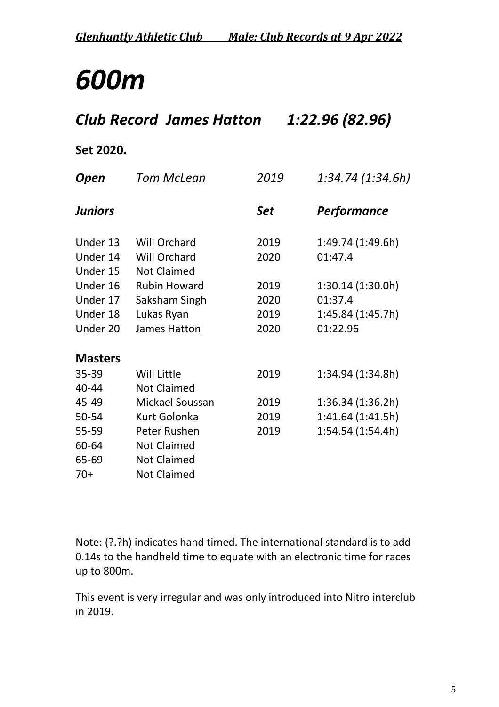### *Club Record James Hatton 1:22.96 (82.96)*

#### **Set 2020.**

| Open           | Tom McLean          | 2019       | 1:34.74 (1:34.6h)  |
|----------------|---------------------|------------|--------------------|
| <b>Juniors</b> |                     | <b>Set</b> | <b>Performance</b> |
| Under 13       | <b>Will Orchard</b> | 2019       | 1:49.74 (1:49.6h)  |
| Under 14       | <b>Will Orchard</b> | 2020       | 01:47.4            |
| Under 15       | <b>Not Claimed</b>  |            |                    |
| Under 16       | <b>Rubin Howard</b> | 2019       | 1:30.14(1:30.0h)   |
| Under 17       | Saksham Singh       | 2020       | 01:37.4            |
| Under 18       | Lukas Ryan          | 2019       | 1:45.84(1:45.7h)   |
| Under 20       | James Hatton        | 2020       | 01:22.96           |
| <b>Masters</b> |                     |            |                    |
| 35-39          | <b>Will Little</b>  | 2019       | 1:34.94 (1:34.8h)  |
| 40-44          | <b>Not Claimed</b>  |            |                    |
| 45-49          | Mickael Soussan     | 2019       | 1:36.34(1:36.2h)   |
| 50-54          | Kurt Golonka        | 2019       | 1:41.64(1:41.5h)   |
| 55-59          | Peter Rushen        | 2019       | 1:54.54 (1:54.4h)  |
| 60-64          | <b>Not Claimed</b>  |            |                    |
| 65-69          | <b>Not Claimed</b>  |            |                    |
| $70+$          | <b>Not Claimed</b>  |            |                    |

Note: (?.?h) indicates hand timed. The international standard is to add 0.14s to the handheld time to equate with an electronic time for races up to 800m.

This event is very irregular and was only introduced into Nitro interclub in 2019.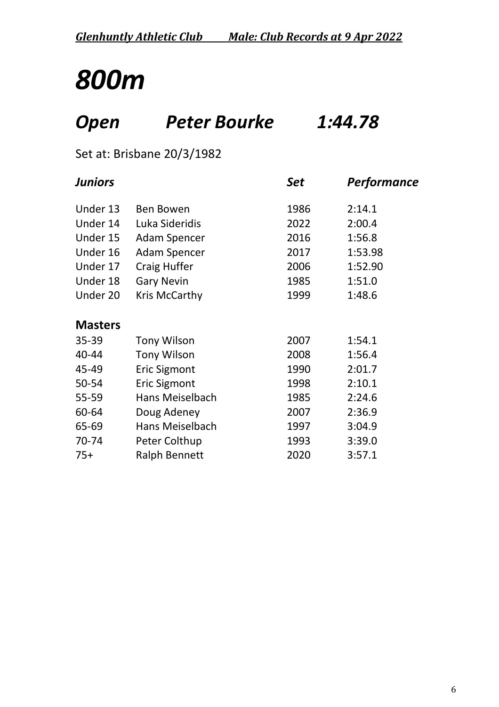### *Open Peter Bourke 1:44.78*

Set at: Brisbane 20/3/1982

| <b>Juniors</b> |                        | Set  | Performance |
|----------------|------------------------|------|-------------|
| Under 13       | <b>Ben Bowen</b>       | 1986 | 2:14.1      |
| Under 14       | Luka Sideridis         | 2022 | 2:00.4      |
| Under 15       | <b>Adam Spencer</b>    | 2016 | 1:56.8      |
| Under 16       | <b>Adam Spencer</b>    | 2017 | 1:53.98     |
| Under 17       | <b>Craig Huffer</b>    | 2006 | 1:52.90     |
| Under 18       | <b>Gary Nevin</b>      | 1985 | 1:51.0      |
| Under 20       | Kris McCarthy          | 1999 | 1:48.6      |
| <b>Masters</b> |                        |      |             |
| 35-39          | <b>Tony Wilson</b>     | 2007 | 1:54.1      |
| 40-44          | <b>Tony Wilson</b>     | 2008 | 1:56.4      |
| 45-49          | <b>Eric Sigmont</b>    | 1990 | 2:01.7      |
| 50-54          | <b>Eric Sigmont</b>    | 1998 | 2:10.1      |
| 55-59          | Hans Meiselbach        | 1985 | 2:24.6      |
| 60-64          | Doug Adeney            | 2007 | 2:36.9      |
| 65-69          | <b>Hans Meiselbach</b> | 1997 | 3:04.9      |
| 70-74          | Peter Colthup          | 1993 | 3:39.0      |
| $75+$          | <b>Ralph Bennett</b>   | 2020 | 3:57.1      |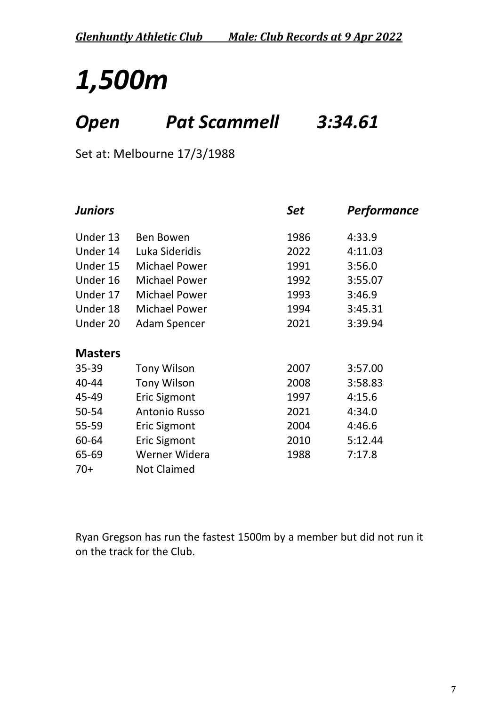## *1,500m*

### *Open Pat Scammell 3:34.61*

Set at: Melbourne 17/3/1988

| <b>Juniors</b> |                      | <b>Set</b> | Performance |  |
|----------------|----------------------|------------|-------------|--|
| Under 13       | <b>Ben Bowen</b>     | 1986       | 4:33.9      |  |
| Under 14       | Luka Sideridis       | 2022       | 4:11.03     |  |
| Under 15       | <b>Michael Power</b> | 1991       | 3:56.0      |  |
| Under 16       | <b>Michael Power</b> | 1992       | 3:55.07     |  |
| Under 17       | <b>Michael Power</b> | 1993       | 3:46.9      |  |
| Under 18       | <b>Michael Power</b> | 1994       | 3:45.31     |  |
| Under 20       | <b>Adam Spencer</b>  | 2021       | 3:39.94     |  |
| <b>Masters</b> |                      |            |             |  |
| $35 - 39$      | <b>Tony Wilson</b>   | 2007       | 3:57.00     |  |
| 40-44          | <b>Tony Wilson</b>   | 2008       | 3:58.83     |  |
| 45-49          | <b>Eric Sigmont</b>  | 1997       | 4:15.6      |  |
| 50-54          | <b>Antonio Russo</b> | 2021       | 4:34.0      |  |
| 55-59          | <b>Eric Sigmont</b>  | 2004       | 4:46.6      |  |
| 60-64          | <b>Eric Sigmont</b>  | 2010       | 5:12.44     |  |
| 65-69          | Werner Widera        | 1988       | 7:17.8      |  |
| $70+$          | <b>Not Claimed</b>   |            |             |  |

Ryan Gregson has run the fastest 1500m by a member but did not run it on the track for the Club.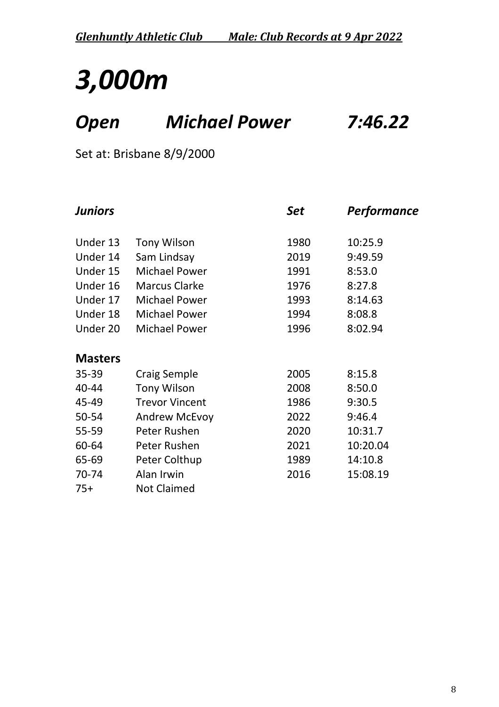## *3,000m*

### *Open Michael Power 7:46.22*

Set at: Brisbane 8/9/2000

| <b>Juniors</b> |                       | Set  | <b>Performance</b> |
|----------------|-----------------------|------|--------------------|
| Under 13       | <b>Tony Wilson</b>    | 1980 | 10:25.9            |
| Under 14       | Sam Lindsay           | 2019 | 9:49.59            |
| Under 15       | <b>Michael Power</b>  | 1991 | 8:53.0             |
| Under 16       | <b>Marcus Clarke</b>  | 1976 | 8:27.8             |
| Under 17       | <b>Michael Power</b>  | 1993 | 8:14.63            |
| Under 18       | <b>Michael Power</b>  | 1994 | 8:08.8             |
| Under 20       | <b>Michael Power</b>  | 1996 | 8:02.94            |
| <b>Masters</b> |                       |      |                    |
| 35-39          | <b>Craig Semple</b>   | 2005 | 8:15.8             |
| 40-44          | <b>Tony Wilson</b>    | 2008 | 8:50.0             |
| 45-49          | <b>Trevor Vincent</b> | 1986 | 9:30.5             |
| 50-54          | <b>Andrew McEvoy</b>  | 2022 | 9:46.4             |
| 55-59          | Peter Rushen          | 2020 | 10:31.7            |
| 60-64          | Peter Rushen          | 2021 | 10:20.04           |
| 65-69          | Peter Colthup         | 1989 | 14:10.8            |
| 70-74          | Alan Irwin            | 2016 | 15:08.19           |
| $75+$          | <b>Not Claimed</b>    |      |                    |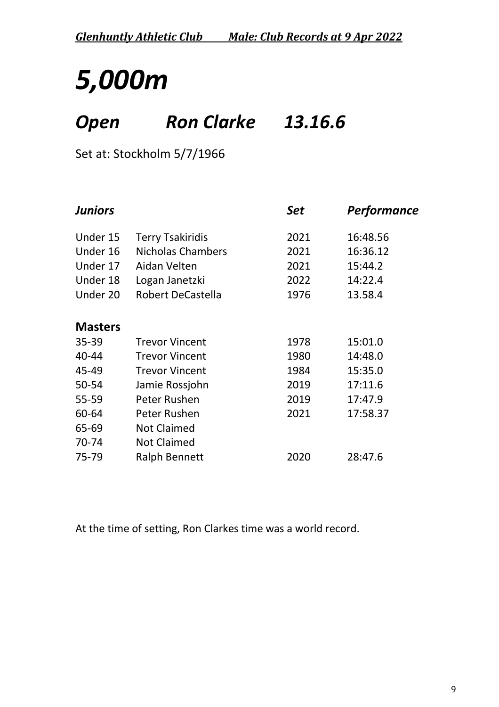## *5,000m*

### *Open Ron Clarke 13.16.6*

Set at: Stockholm 5/7/1966

| <b>Juniors</b>           |      | Performance |
|--------------------------|------|-------------|
| <b>Terry Tsakiridis</b>  | 2021 | 16:48.56    |
| <b>Nicholas Chambers</b> | 2021 | 16:36.12    |
| Aidan Velten             | 2021 | 15:44.2     |
| Logan Janetzki           | 2022 | 14:22.4     |
| Robert DeCastella        | 1976 | 13.58.4     |
|                          |      |             |
| <b>Trevor Vincent</b>    | 1978 | 15:01.0     |
| <b>Trevor Vincent</b>    | 1980 | 14:48.0     |
| <b>Trevor Vincent</b>    | 1984 | 15:35.0     |
| Jamie Rossjohn           | 2019 | 17:11.6     |
| Peter Rushen             | 2019 | 17:47.9     |
| Peter Rushen             | 2021 | 17:58.37    |
| <b>Not Claimed</b>       |      |             |
| <b>Not Claimed</b>       |      |             |
| <b>Ralph Bennett</b>     | 2020 | 28:47.6     |
|                          |      | <b>Set</b>  |

At the time of setting, Ron Clarkes time was a world record.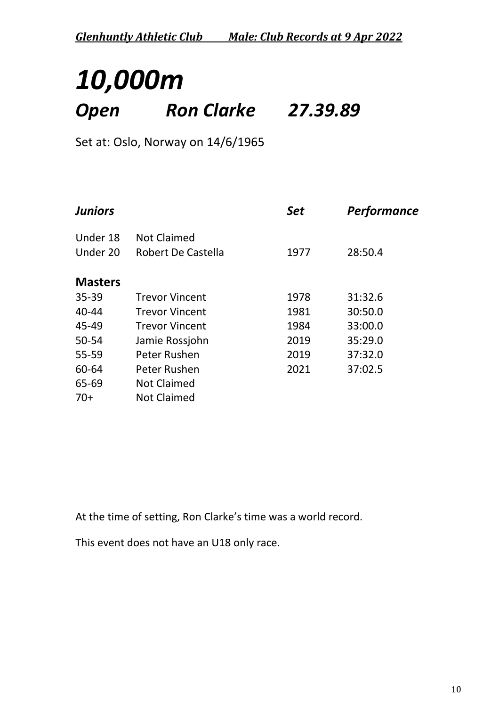### *10,000m Open Ron Clarke 27.39.89*

Set at: Oslo, Norway on 14/6/1965

| <b>Juniors</b> |                       | <b>Set</b> | Performance |
|----------------|-----------------------|------------|-------------|
| Under 18       | <b>Not Claimed</b>    |            |             |
| Under 20       | Robert De Castella    | 1977       | 28:50.4     |
| <b>Masters</b> |                       |            |             |
| $35 - 39$      | <b>Trevor Vincent</b> | 1978       | 31:32.6     |
| 40-44          | <b>Trevor Vincent</b> | 1981       | 30:50.0     |
| 45-49          | <b>Trevor Vincent</b> | 1984       | 33:00.0     |
| 50-54          | Jamie Rossjohn        | 2019       | 35:29.0     |
| 55-59          | Peter Rushen          | 2019       | 37:32.0     |
| 60-64          | Peter Rushen          | 2021       | 37:02.5     |
| 65-69          | <b>Not Claimed</b>    |            |             |
| $70+$          | <b>Not Claimed</b>    |            |             |

At the time of setting, Ron Clarke's time was a world record.

This event does not have an U18 only race.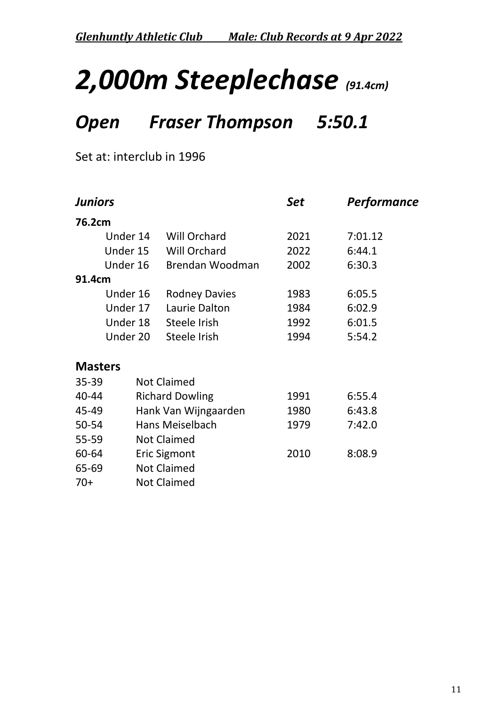## *2,000m Steeplechase (91.4cm)*

### *Open Fraser Thompson 5:50.1*

Set at: interclub in 1996

|                | <b>Juniors</b>  |                        | <b>Set</b> | <b>Performance</b> |
|----------------|-----------------|------------------------|------------|--------------------|
| 76.2cm         |                 |                        |            |                    |
|                | Under 14        | <b>Will Orchard</b>    | 2021       | 7:01.12            |
|                | Under 15        | <b>Will Orchard</b>    | 2022       | 6:44.1             |
|                | Under 16        | Brendan Woodman        | 2002       | 6:30.3             |
| 91.4cm         |                 |                        |            |                    |
|                | Under 16        | <b>Rodney Davies</b>   | 1983       | 6:05.5             |
|                | Under 17        | Laurie Dalton          | 1984       | 6:02.9             |
|                | Under 18        | Steele Irish           | 1992       | 6:01.5             |
|                | Under 20        | Steele Irish           | 1994       | 5:54.2             |
| <b>Masters</b> |                 |                        |            |                    |
| 35-39          |                 | <b>Not Claimed</b>     |            |                    |
| 40-44          |                 | <b>Richard Dowling</b> | 1991       | 6:55.4             |
| 45-49          |                 | Hank Van Wijngaarden   | 1980       | 6:43.8             |
| 50-54          | Hans Meiselbach |                        | 1979       | 7:42.0             |
| 55-59          |                 | <b>Not Claimed</b>     |            |                    |
| 60-64          |                 | <b>Eric Sigmont</b>    | 2010       | 8:08.9             |
| 65-69          |                 | <b>Not Claimed</b>     |            |                    |
| $70+$          |                 | <b>Not Claimed</b>     |            |                    |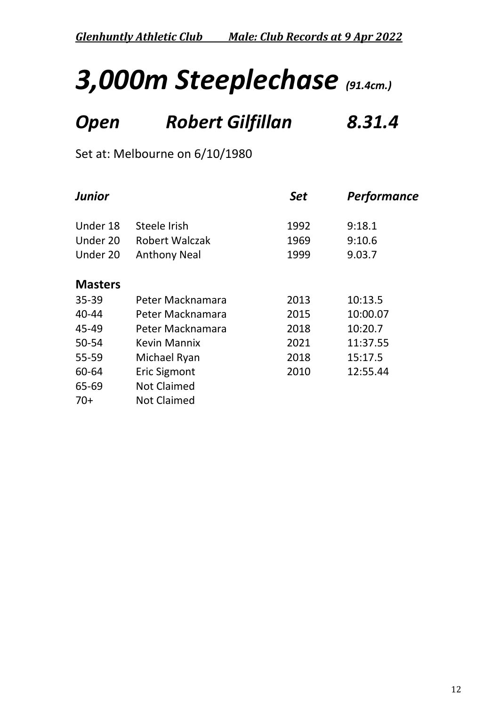## *3,000m Steeplechase (91.4cm.)*

### *Open Robert Gilfillan 8.31.4*

Set at: Melbourne on 6/10/1980

| <b>Junior</b>  |                       | <b>Set</b> | <b>Performance</b> |  |
|----------------|-----------------------|------------|--------------------|--|
| Under 18       | Steele Irish          | 1992       | 9:18.1             |  |
| Under 20       | <b>Robert Walczak</b> | 1969       | 9:10.6             |  |
| Under 20       | <b>Anthony Neal</b>   | 1999       | 9.03.7             |  |
| <b>Masters</b> |                       |            |                    |  |
| $35 - 39$      | Peter Macknamara      | 2013       | 10:13.5            |  |
| $40 - 44$      | Peter Macknamara      | 2015       | 10:00.07           |  |
| 45-49          | Peter Macknamara      | 2018       | 10:20.7            |  |
| 50-54          | <b>Kevin Mannix</b>   | 2021       | 11:37.55           |  |
| 55-59          | Michael Ryan          | 2018       | 15:17.5            |  |
| 60-64          | <b>Eric Sigmont</b>   | 2010       | 12:55.44           |  |
| 65-69          | <b>Not Claimed</b>    |            |                    |  |
| $70+$          | <b>Not Claimed</b>    |            |                    |  |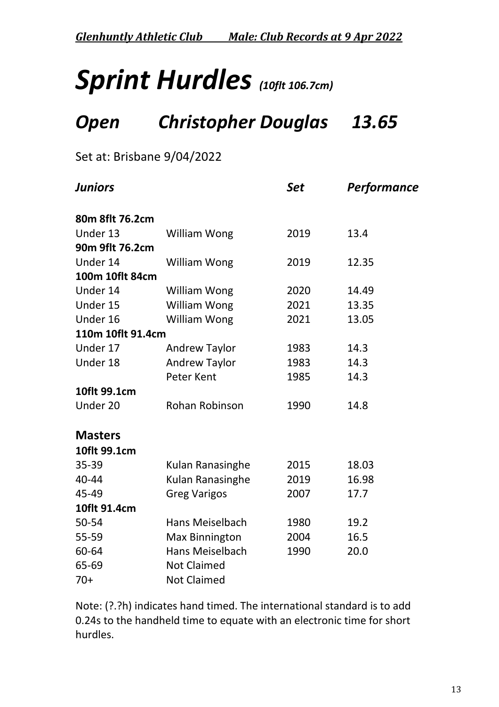*Glenhuntly Athletic Club Male: Club Records at 9 Apr 2022*

## *Sprint Hurdles (10flt 106.7cm)*

### *Open Christopher Douglas 13.65*

Set at: Brisbane 9/04/2022

| <b>Juniors</b>    |                       | <b>Set</b> | <b>Performance</b> |
|-------------------|-----------------------|------------|--------------------|
| 80m 8flt 76.2cm   |                       |            |                    |
| Under 13          | William Wong          | 2019       | 13.4               |
| 90m 9flt 76.2cm   |                       |            |                    |
| Under 14          | <b>William Wong</b>   | 2019       | 12.35              |
| 100m 10flt 84cm   |                       |            |                    |
| Under 14          | <b>William Wong</b>   | 2020       | 14.49              |
| Under 15          | William Wong          | 2021       | 13.35              |
| Under 16          | William Wong          | 2021       | 13.05              |
| 110m 10flt 91.4cm |                       |            |                    |
| Under 17          | <b>Andrew Taylor</b>  | 1983       | 14.3               |
| Under 18          | <b>Andrew Taylor</b>  | 1983       | 14.3               |
|                   | <b>Peter Kent</b>     | 1985       | 14.3               |
| 10flt 99.1cm      |                       |            |                    |
| Under 20          | Rohan Robinson        | 1990       | 14.8               |
|                   |                       |            |                    |
| <b>Masters</b>    |                       |            |                    |
| 10flt 99.1cm      |                       |            |                    |
| 35-39             | Kulan Ranasinghe      | 2015       | 18.03              |
| 40-44             | Kulan Ranasinghe      | 2019       | 16.98              |
| 45-49             | <b>Greg Varigos</b>   | 2007       | 17.7               |
| 10flt 91.4cm      |                       |            |                    |
| 50-54             | Hans Meiselbach       | 1980       | 19.2               |
| 55-59             | <b>Max Binnington</b> | 2004       | 16.5               |
| 60-64             | Hans Meiselbach       | 1990       | 20.0               |
| 65-69             | <b>Not Claimed</b>    |            |                    |
| $70+$             | <b>Not Claimed</b>    |            |                    |

Note: (?.?h) indicates hand timed. The international standard is to add 0.24s to the handheld time to equate with an electronic time for short hurdles.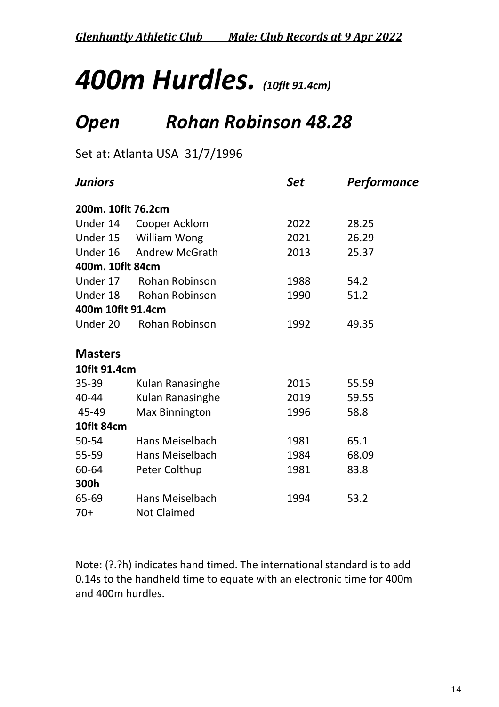*Glenhuntly Athletic Club Male: Club Records at 9 Apr 2022*

## *400m Hurdles. (10flt 91.4cm)*

### *Open Rohan Robinson 48.28*

Set at: Atlanta USA 31/7/1996

| <b>Juniors</b>     |                       | Set  | <b>Performance</b> |
|--------------------|-----------------------|------|--------------------|
| 200m. 10flt 76.2cm |                       |      |                    |
| Under 14           | Cooper Acklom         | 2022 | 28.25              |
|                    | Under 15 William Wong | 2021 | 26.29              |
| Under 16           | <b>Andrew McGrath</b> | 2013 | 25.37              |
| 400m. 10flt 84cm   |                       |      |                    |
| Under 17           | Rohan Robinson        | 1988 | 54.2               |
| Under 18           | Rohan Robinson        | 1990 | 51.2               |
| 400m 10flt 91.4cm  |                       |      |                    |
| Under 20           | <b>Rohan Robinson</b> | 1992 | 49.35              |
| <b>Masters</b>     |                       |      |                    |
| 10flt 91.4cm       |                       |      |                    |
| $35 - 39$          | Kulan Ranasinghe      | 2015 | 55.59              |
| 40-44              | Kulan Ranasinghe      | 2019 | 59.55              |
| 45-49              | <b>Max Binnington</b> | 1996 | 58.8               |
| 10flt 84cm         |                       |      |                    |
| 50-54              | Hans Meiselbach       | 1981 | 65.1               |
| $55 - 59$          | Hans Meiselbach       | 1984 | 68.09              |
| 60-64              | Peter Colthup         | 1981 | 83.8               |
| 300h               |                       |      |                    |
| 65-69              | Hans Meiselbach       | 1994 | 53.2               |
| $70+$              | <b>Not Claimed</b>    |      |                    |

Note: (?.?h) indicates hand timed. The international standard is to add 0.14s to the handheld time to equate with an electronic time for 400m and 400m hurdles.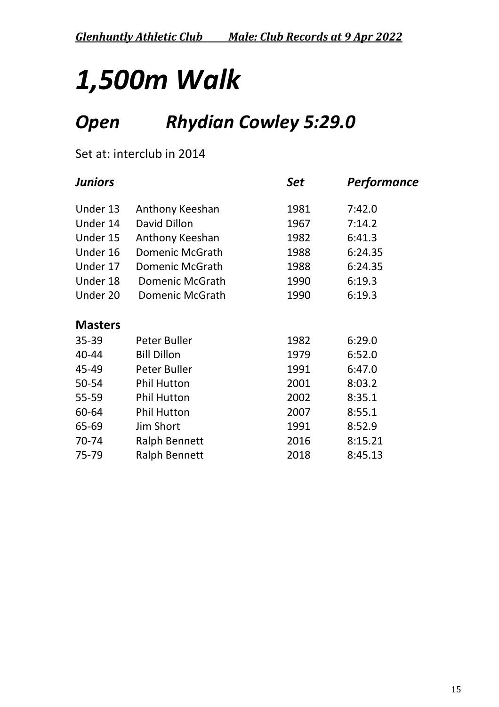## *1,500m Walk*

### *Open Rhydian Cowley 5:29.0*

#### Set at: interclub in 2014

| <b>Juniors</b> |                        | Set  | Performance |
|----------------|------------------------|------|-------------|
| Under 13       | Anthony Keeshan        | 1981 | 7:42.0      |
| Under 14       | David Dillon           | 1967 | 7:14.2      |
| Under 15       | Anthony Keeshan        | 1982 | 6:41.3      |
| Under 16       | <b>Domenic McGrath</b> | 1988 | 6:24.35     |
| Under 17       | <b>Domenic McGrath</b> | 1988 | 6:24.35     |
| Under 18       | Domenic McGrath        | 1990 | 6:19.3      |
| Under 20       | Domenic McGrath        | 1990 | 6:19.3      |
| <b>Masters</b> |                        |      |             |
| 35-39          | Peter Buller           | 1982 | 6:29.0      |
| 40-44          | <b>Bill Dillon</b>     | 1979 | 6:52.0      |
| 45-49          | Peter Buller           | 1991 | 6:47.0      |
| 50-54          | <b>Phil Hutton</b>     | 2001 | 8:03.2      |
| 55-59          | <b>Phil Hutton</b>     | 2002 | 8:35.1      |
| 60-64          | <b>Phil Hutton</b>     | 2007 | 8:55.1      |
| 65-69          | Jim Short              | 1991 | 8:52.9      |
| 70-74          | <b>Ralph Bennett</b>   | 2016 | 8:15.21     |
| 75-79          | <b>Ralph Bennett</b>   | 2018 | 8:45.13     |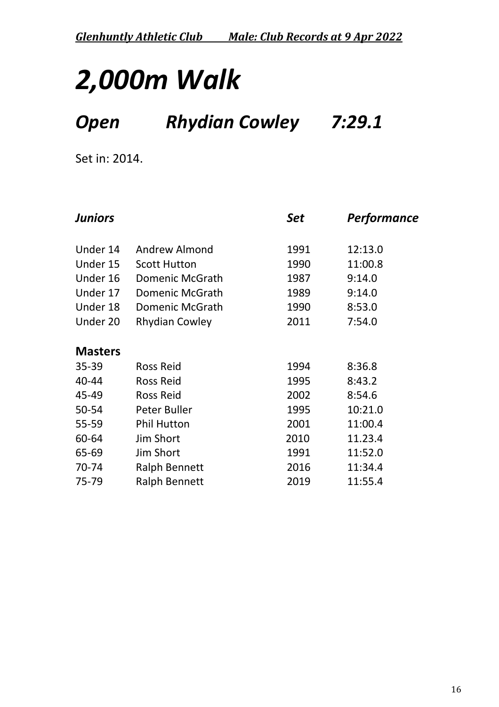### *Open Rhydian Cowley 7:29.1*

Set in: 2014.

| <b>Juniors</b> |                        | Set  | <b>Performance</b> |
|----------------|------------------------|------|--------------------|
| Under 14       | Andrew Almond          | 1991 | 12:13.0            |
| Under 15       | <b>Scott Hutton</b>    | 1990 | 11:00.8            |
| Under 16       | Domenic McGrath        | 1987 | 9:14.0             |
| Under 17       | <b>Domenic McGrath</b> | 1989 | 9:14.0             |
| Under 18       | Domenic McGrath        | 1990 | 8:53.0             |
| Under 20       | <b>Rhydian Cowley</b>  | 2011 | 7:54.0             |
| <b>Masters</b> |                        |      |                    |
| 35-39          | <b>Ross Reid</b>       | 1994 | 8:36.8             |
| 40-44          | <b>Ross Reid</b>       | 1995 | 8:43.2             |
| 45-49          | <b>Ross Reid</b>       | 2002 | 8:54.6             |
| 50-54          | Peter Buller           | 1995 | 10:21.0            |
| 55-59          | <b>Phil Hutton</b>     | 2001 | 11:00.4            |
| 60-64          | Jim Short              | 2010 | 11.23.4            |
| 65-69          | Jim Short              | 1991 | 11:52.0            |
| 70-74          | <b>Ralph Bennett</b>   | 2016 | 11:34.4            |
| 75-79          | <b>Ralph Bennett</b>   | 2019 | 11:55.4            |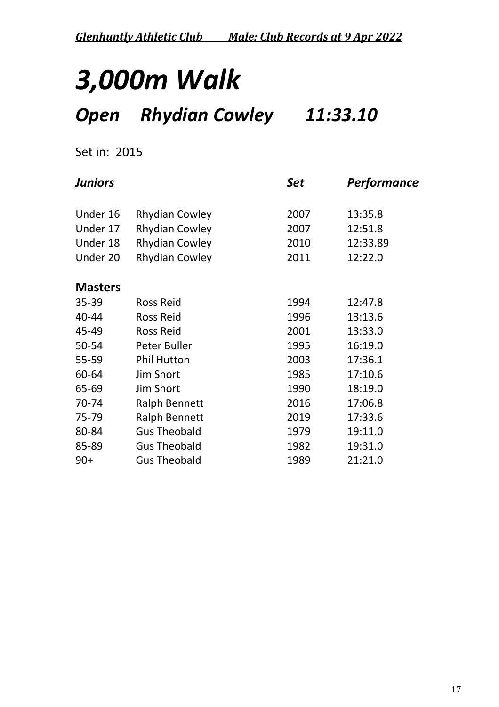### *Open Rhydian Cowley 11:33.10*

#### Set in: 2015

| <b>Juniors</b> |                       | Set  | <b>Performance</b> |
|----------------|-----------------------|------|--------------------|
| Under 16       | <b>Rhydian Cowley</b> | 2007 | 13:35.8            |
| Under 17       | <b>Rhydian Cowley</b> | 2007 | 12:51.8            |
| Under 18       | <b>Rhydian Cowley</b> | 2010 | 12:33.89           |
| Under 20       | <b>Rhydian Cowley</b> | 2011 | 12:22.0            |
| <b>Masters</b> |                       |      |                    |
| 35-39          | <b>Ross Reid</b>      | 1994 | 12:47.8            |
| 40-44          | <b>Ross Reid</b>      | 1996 | 13:13.6            |
| 45-49          | <b>Ross Reid</b>      | 2001 | 13:33.0            |
| 50-54          | Peter Buller          | 1995 | 16:19.0            |
| 55-59          | <b>Phil Hutton</b>    | 2003 | 17:36.1            |
| 60-64          | Jim Short             | 1985 | 17:10.6            |
| 65-69          | Jim Short             | 1990 | 18:19.0            |
| 70-74          | <b>Ralph Bennett</b>  | 2016 | 17:06.8            |
| 75-79          | <b>Ralph Bennett</b>  | 2019 | 17:33.6            |
| 80-84          | <b>Gus Theobald</b>   | 1979 | 19:11.0            |
| 85-89          | <b>Gus Theobald</b>   | 1982 | 19:31.0            |
| $90+$          | <b>Gus Theobald</b>   | 1989 | 21:21.0            |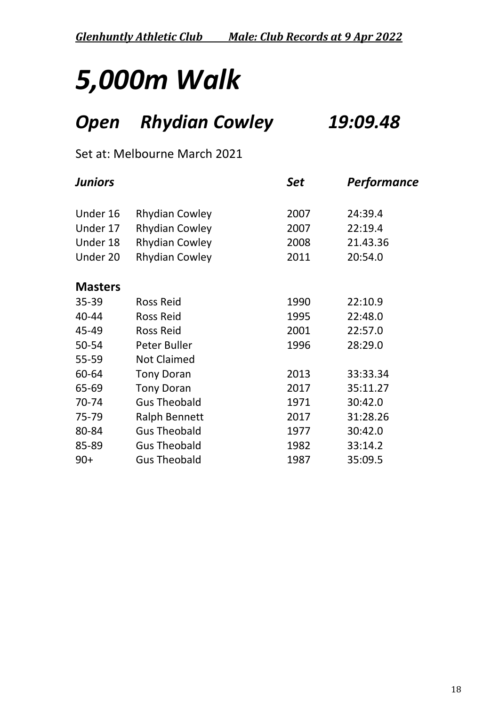*Glenhuntly Athletic Club Male: Club Records at 9 Apr 2022*

## *5,000m Walk*

### *Open Rhydian Cowley 19:09.48*

#### Set at: Melbourne March 2021

| <b>Juniors</b> |                       | Set  | <b>Performance</b> |
|----------------|-----------------------|------|--------------------|
| Under 16       | <b>Rhydian Cowley</b> | 2007 | 24:39.4            |
| Under 17       | <b>Rhydian Cowley</b> | 2007 | 22:19.4            |
| Under 18       | <b>Rhydian Cowley</b> | 2008 | 21.43.36           |
| Under 20       | <b>Rhydian Cowley</b> | 2011 | 20:54.0            |
| <b>Masters</b> |                       |      |                    |
| 35-39          | <b>Ross Reid</b>      | 1990 | 22:10.9            |
| 40-44          | <b>Ross Reid</b>      | 1995 | 22:48.0            |
| 45-49          | <b>Ross Reid</b>      | 2001 | 22:57.0            |
| 50-54          | Peter Buller          | 1996 | 28:29.0            |
| 55-59          | <b>Not Claimed</b>    |      |                    |
| 60-64          | <b>Tony Doran</b>     | 2013 | 33:33.34           |
| 65-69          | <b>Tony Doran</b>     | 2017 | 35:11.27           |
| 70-74          | <b>Gus Theobald</b>   | 1971 | 30:42.0            |
| 75-79          | <b>Ralph Bennett</b>  | 2017 | 31:28.26           |
| 80-84          | <b>Gus Theobald</b>   | 1977 | 30:42.0            |
| 85-89          | <b>Gus Theobald</b>   | 1982 | 33:14.2            |
| $90+$          | <b>Gus Theobald</b>   | 1987 | 35:09.5            |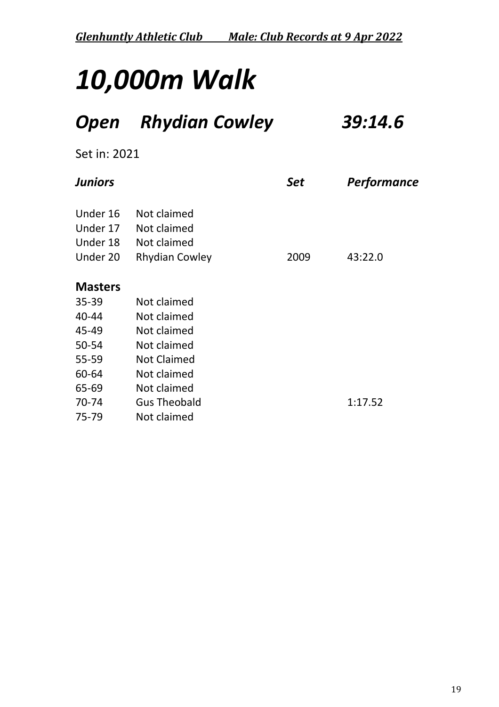### *Open Rhydian Cowley 39:14.6*

Set in: 2021

| <b>Juniors</b> |                       | Set  | Performance |
|----------------|-----------------------|------|-------------|
| Under 16       | Not claimed           |      |             |
| Under 17       | Not claimed           |      |             |
| Under 18       | Not claimed           |      |             |
| Under 20       | <b>Rhydian Cowley</b> | 2009 | 43:22.0     |
| <b>Masters</b> |                       |      |             |
| $35 - 39$      | Not claimed           |      |             |
| 40-44          | Not claimed           |      |             |
| 45-49          | Not claimed           |      |             |
| 50-54          | Not claimed           |      |             |
| 55-59          | <b>Not Claimed</b>    |      |             |
| 60-64          | Not claimed           |      |             |
| 65-69          | Not claimed           |      |             |
| 70-74          | <b>Gus Theobald</b>   |      | 1:17.52     |
| 75-79          | Not claimed           |      |             |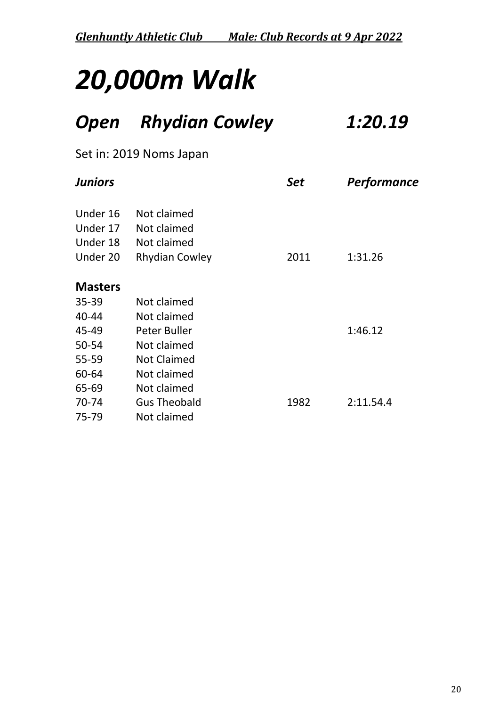### *Open Rhydian Cowley 1:20.19*

#### Set in: 2019 Noms Japan

| <b>Juniors</b> |                       | Set  | Performance |
|----------------|-----------------------|------|-------------|
| Under 16       | Not claimed           |      |             |
| Under 17       | Not claimed           |      |             |
| Under 18       | Not claimed           |      |             |
| Under 20       | <b>Rhydian Cowley</b> | 2011 | 1:31.26     |
| <b>Masters</b> |                       |      |             |
| $35 - 39$      | Not claimed           |      |             |
| 40-44          | Not claimed           |      |             |
| 45-49          | Peter Buller          |      | 1:46.12     |
| 50-54          | Not claimed           |      |             |
| 55-59          | <b>Not Claimed</b>    |      |             |
| 60-64          | Not claimed           |      |             |
| 65-69          | Not claimed           |      |             |
| 70-74          | <b>Gus Theobald</b>   | 1982 | 2:11.54.4   |
| 75-79          | Not claimed           |      |             |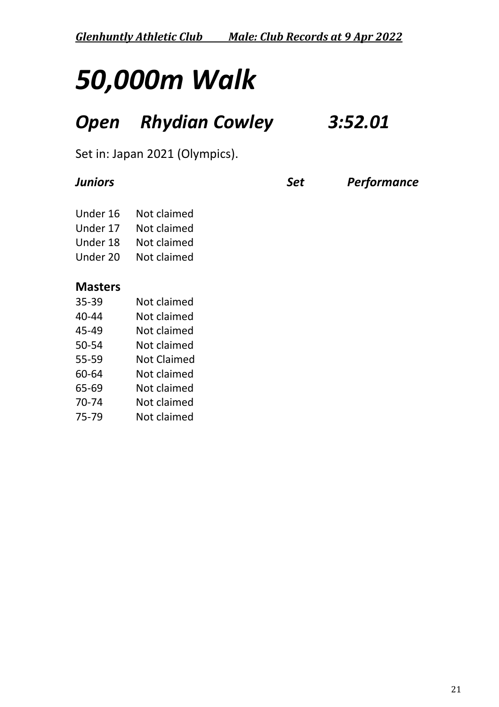### *Open Rhydian Cowley 3:52.01*

Set in: Japan 2021 (Olympics).

*Juniors Set Performance*

| Under 16 | Not claimed |
|----------|-------------|
| Under 17 | Not claimed |
| Under 18 | Not claimed |
| Under 20 | Not claimed |

#### **Masters**

| 35-39 | Not claimed |
|-------|-------------|
| 40-44 | Not claimed |
| 45-49 | Not claimed |
| 50-54 | Not claimed |
| 55-59 | Not Claimed |
| 60-64 | Not claimed |
| 65-69 | Not claimed |
| 70-74 | Not claimed |
| 75-79 | Not claimed |
|       |             |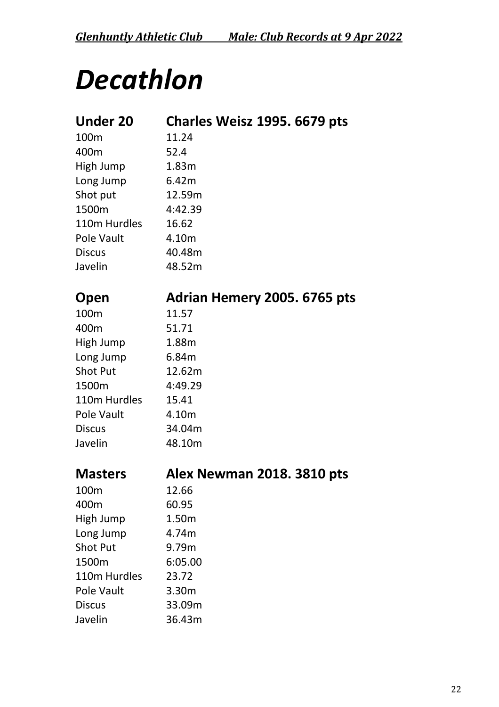## *Decathlon*

| <b>Under 20</b> | Charles Weisz 1995. 6679 pts |
|-----------------|------------------------------|
| 100m            | 11.24                        |
| 400m            | 52.4                         |
| High Jump       | 1.83m                        |
| Long Jump       | 6.42m                        |
| Shot put        | 12.59m                       |
| 1500m           | 4:42.39                      |
| 110m Hurdles    | 16.62                        |
| Pole Vault      | 4.10m                        |
| <b>Discus</b>   | 40.48m                       |
| Javelin         | 48.52m                       |
|                 |                              |
| Open            | Adrian Hemery 2005. 6765 pts |
| 100m            | 11.57                        |
| 400m            | 51.71                        |
| High Jump       | 1.88m                        |
| Long Jump       | 6.84m                        |
| <b>Shot Put</b> | 12.62m                       |
| 1500m           | 4:49.29                      |
| 110m Hurdles    | 15.41                        |
| Pole Vault      | 4.10m                        |
| <b>Discus</b>   | 34.04m                       |
| Javelin         | 48.10m                       |
|                 |                              |
| <b>Masters</b>  | Alex Newman 2018. 3810 pts   |
| 100m            | 12.66                        |
| 400m            | 60.95                        |
| High Jump       | 1.50m                        |
| Long Jump       | 4.74m                        |
| <b>Shot Put</b> | 9.79m                        |
| 1500m           | 6:05.00                      |
| 110m Hurdles    | 23.72                        |
| Pole Vault      | 3.30m                        |
| <b>Discus</b>   | 33.09m                       |
| Javelin         | 36.43m                       |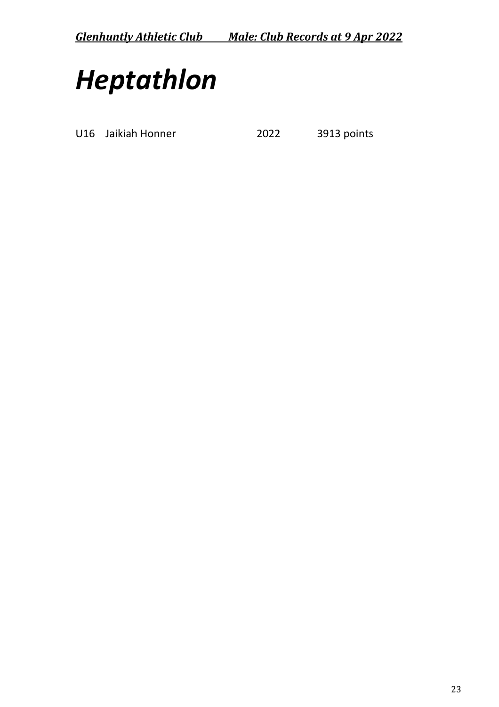## *Heptathlon*

U16 Jaikiah Honner 2022 3913 points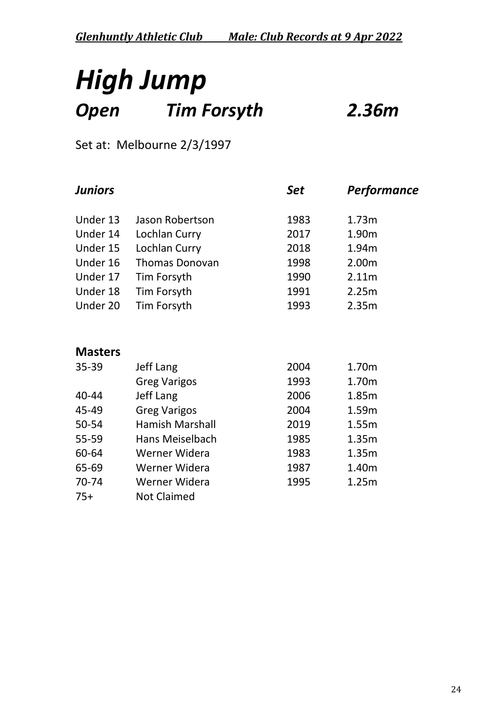### *High Jump Open Tim Forsyth 2.36m*

### Set at: Melbourne 2/3/1997

| <b>Juniors</b>         |      | Performance |
|------------------------|------|-------------|
| Jason Robertson        | 1983 | 1.73m       |
| Lochlan Curry          | 2017 | 1.90m       |
| Lochlan Curry          | 2018 | 1.94m       |
| <b>Thomas Donovan</b>  | 1998 | 2.00m       |
| Tim Forsyth            | 1990 | 2.11m       |
| Tim Forsyth            | 1991 | 2.25m       |
| Tim Forsyth            | 1993 | 2.35m       |
|                        |      |             |
| Jeff Lang              | 2004 | 1.70m       |
| <b>Greg Varigos</b>    | 1993 | 1.70m       |
| Jeff Lang              | 2006 | 1.85m       |
| <b>Greg Varigos</b>    | 2004 | 1.59m       |
| <b>Hamish Marshall</b> | 2019 | 1.55m       |
| Hans Meiselbach        | 1985 | 1.35m       |
| Werner Widera          | 1983 | 1.35m       |
| Werner Widera          | 1987 | 1.40m       |
| Werner Widera          | 1995 | 1.25m       |
| <b>Not Claimed</b>     |      |             |
|                        |      | <b>Set</b>  |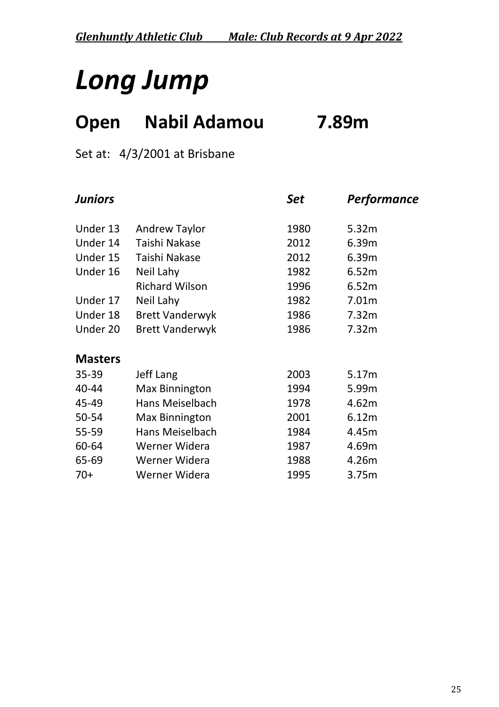## *Long Jump*

### **Open Nabil Adamou 7.89m**

#### Set at: 4/3/2001 at Brisbane

| <b>Juniors</b> |                        | Set  | Performance |
|----------------|------------------------|------|-------------|
| Under 13       | <b>Andrew Taylor</b>   | 1980 | 5.32m       |
| Under 14       | Taishi Nakase          | 2012 | 6.39m       |
| Under 15       | Taishi Nakase          | 2012 | 6.39m       |
| Under 16       | Neil Lahy              | 1982 | 6.52m       |
|                | <b>Richard Wilson</b>  | 1996 | 6.52m       |
| Under 17       | Neil Lahy              | 1982 | 7.01m       |
| Under 18       | <b>Brett Vanderwyk</b> | 1986 | 7.32m       |
| Under 20       | <b>Brett Vanderwyk</b> | 1986 | 7.32m       |
| <b>Masters</b> |                        |      |             |
| 35-39          | Jeff Lang              | 2003 | 5.17m       |
| 40-44          | <b>Max Binnington</b>  | 1994 | 5.99m       |
| 45-49          | Hans Meiselbach        | 1978 | 4.62m       |
| 50-54          | <b>Max Binnington</b>  | 2001 | 6.12m       |
| 55-59          | Hans Meiselbach        | 1984 | 4.45m       |
| 60-64          | Werner Widera          | 1987 | 4.69m       |
| 65-69          | Werner Widera          | 1988 | 4.26m       |
| $70+$          | Werner Widera          | 1995 | 3.75m       |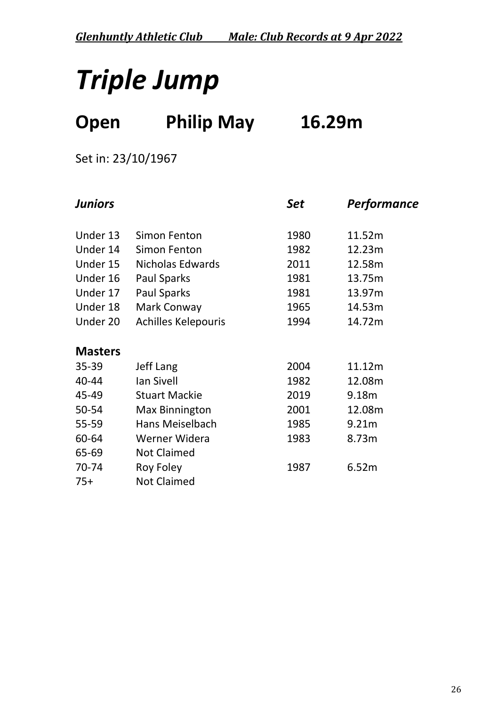## *Triple Jump*

### **Open Philip May 16.29m**

Set in: 23/10/1967

| <b>Juniors</b> |                            | <b>Set</b> | Performance |
|----------------|----------------------------|------------|-------------|
| Under 13       | Simon Fenton               | 1980       | 11.52m      |
| Under 14       | Simon Fenton               | 1982       | 12.23m      |
| Under 15       | <b>Nicholas Edwards</b>    | 2011       | 12.58m      |
| Under 16       | <b>Paul Sparks</b>         | 1981       | 13.75m      |
| Under 17       | <b>Paul Sparks</b>         | 1981       | 13.97m      |
| Under 18       | Mark Conway                | 1965       | 14.53m      |
| Under 20       | <b>Achilles Kelepouris</b> | 1994       | 14.72m      |
| <b>Masters</b> |                            |            |             |
| 35-39          | <b>Jeff Lang</b>           | 2004       | 11.12m      |
| 40-44          | Ian Sivell                 | 1982       | 12.08m      |
| 45-49          | <b>Stuart Mackie</b>       | 2019       | 9.18m       |
| 50-54          | <b>Max Binnington</b>      | 2001       | 12.08m      |
| 55-59          | <b>Hans Meiselbach</b>     | 1985       | 9.21m       |
| 60-64          | Werner Widera              | 1983       | 8.73m       |
| 65-69          | <b>Not Claimed</b>         |            |             |
| 70-74          | Roy Foley                  | 1987       | 6.52m       |
| $75+$          | <b>Not Claimed</b>         |            |             |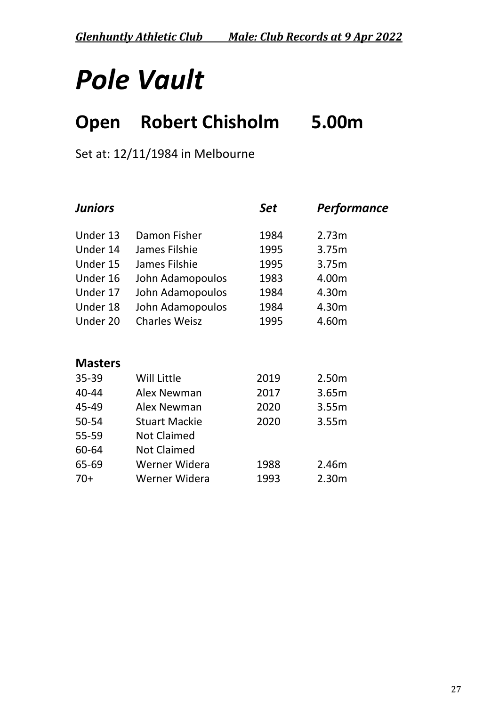*Glenhuntly Athletic Club Male: Club Records at 9 Apr 2022*

## *Pole Vault*

### **Open Robert Chisholm 5.00m**

Set at: 12/11/1984 in Melbourne

| <b>Juniors</b> |                      | Set  | <b>Performance</b> |
|----------------|----------------------|------|--------------------|
| Under 13       | Damon Fisher         | 1984 | 2.73m              |
| Under 14       | James Filshie        | 1995 | 3.75m              |
| Under 15       | James Filshie        | 1995 | 3.75m              |
| Under 16       | John Adamopoulos     | 1983 | 4.00m              |
| Under 17       | John Adamopoulos     | 1984 | 4.30m              |
| Under 18       | John Adamopoulos     | 1984 | 4.30m              |
| Under 20       | <b>Charles Weisz</b> | 1995 | 4.60m              |
|                |                      |      |                    |
| <b>Masters</b> |                      |      |                    |
| 35-39          | Will Little          | 2019 | 2.50m              |
| 40-44          | Alex Newman          | 2017 | 3.65m              |
| 45-49          | Alex Newman          | 2020 | 3.55m              |
| 50-54          | <b>Stuart Mackie</b> | 2020 | 3.55m              |
| 55-59          | <b>Not Claimed</b>   |      |                    |
| 60-64          | <b>Not Claimed</b>   |      |                    |
| 65-69          | Werner Widera        | 1988 | 2.46m              |
| $70+$          | Werner Widera        | 1993 | 2.30m              |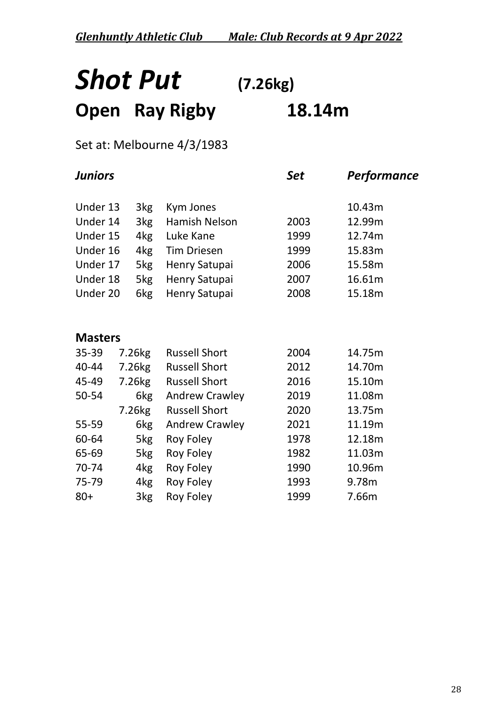### *Shot Put* **(7.26kg) Open Ray Rigby 18.14m**

#### Set at: Melbourne 4/3/1983

| <b>Juniors</b> |                    |                       | <b>Set</b> | Performance |
|----------------|--------------------|-----------------------|------------|-------------|
| Under 13       | 3kg                | Kym Jones             |            | 10.43m      |
| Under 14       | 3kg                | <b>Hamish Nelson</b>  | 2003       | 12.99m      |
| Under 15       | 4kg                | Luke Kane             | 1999       | 12.74m      |
| Under 16       | 4kg                | <b>Tim Driesen</b>    | 1999       | 15.83m      |
| Under 17       | 5kg                | Henry Satupai         | 2006       | 15.58m      |
| Under 18       | 5kg                | Henry Satupai         | 2007       | 16.61m      |
| Under 20       | 6kg                | Henry Satupai         | 2008       | 15.18m      |
|                |                    |                       |            |             |
|                |                    |                       |            |             |
| <b>Masters</b> |                    |                       |            |             |
| $35 - 39$      | 7.26kg             | <b>Russell Short</b>  | 2004       | 14.75m      |
| 40-44          | 7.26 <sub>kg</sub> | <b>Russell Short</b>  | 2012       | 14.70m      |
| 45-49          | 7.26 <sub>kg</sub> | <b>Russell Short</b>  | 2016       | 15.10m      |
| 50-54          | 6kg                | <b>Andrew Crawley</b> | 2019       | 11.08m      |
|                | 7.26 <sub>kg</sub> | <b>Russell Short</b>  | 2020       | 13.75m      |
| 55-59          | 6kg                | <b>Andrew Crawley</b> | 2021       | 11.19m      |
| 60-64          | 5kg                | Roy Foley             | 1978       | 12.18m      |
| 65-69          | 5kg                | <b>Roy Foley</b>      | 1982       | 11.03m      |
| 70-74          | 4kg                | <b>Roy Foley</b>      | 1990       | 10.96m      |
| 75-79          | 4kg                | Roy Foley             | 1993       | 9.78m       |
| $80+$          | 3kg                | Roy Foley             | 1999       | 7.66m       |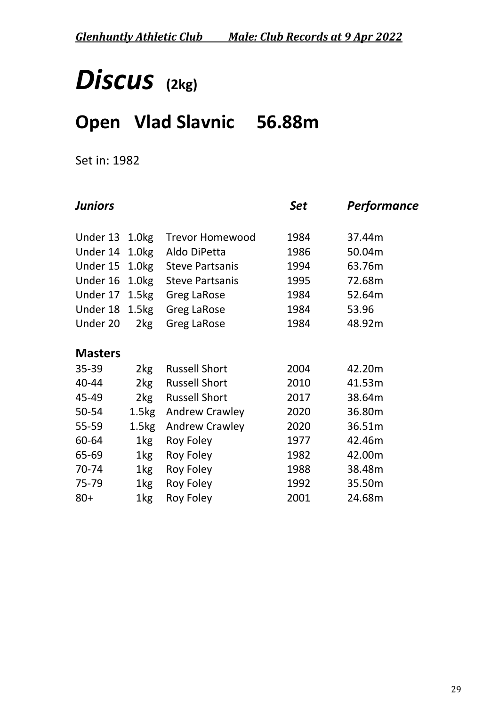## *Discus* **(2kg)**

### **Open Vlad Slavnic 56.88m**

Set in: 1982

|                               |                        | Set               | Performance |
|-------------------------------|------------------------|-------------------|-------------|
| 1.0 <sub>kg</sub>             | <b>Trevor Homewood</b> | 1984              | 37.44m      |
| 1.0 <sub>kg</sub>             | Aldo DiPetta           | 1986              | 50.04m      |
| 1.0 <sub>kg</sub><br>Under 15 | <b>Steve Partsanis</b> | 1994              | 63.76m      |
| Under 16<br>1.0 <sub>kg</sub> | <b>Steve Partsanis</b> | 1995              | 72.68m      |
| 1.5kg<br>Under 17             | <b>Greg LaRose</b>     | 1984              | 52.64m      |
| 1.5 <sub>kg</sub>             | <b>Greg LaRose</b>     | 1984              | 53.96       |
| 2kg                           | <b>Greg LaRose</b>     | 1984              | 48.92m      |
|                               |                        |                   |             |
| 2kg                           | <b>Russell Short</b>   | 2004              | 42.20m      |
| 2kg                           | <b>Russell Short</b>   | 2010              | 41.53m      |
| 2kg                           | <b>Russell Short</b>   | 2017              | 38.64m      |
|                               | <b>Andrew Crawley</b>  | 2020              | 36.80m      |
| 1.5kg                         | <b>Andrew Crawley</b>  | 2020              | 36.51m      |
| 1kg                           | <b>Roy Foley</b>       | 1977              | 42.46m      |
| $1$ kg                        | <b>Roy Foley</b>       | 1982              | 42.00m      |
| 1kg                           | <b>Roy Foley</b>       | 1988              | 38.48m      |
| 1kg                           | Roy Foley              | 1992              | 35.50m      |
| 1kg                           | Roy Foley              | 2001              | 24.68m      |
|                               |                        | 1.5 <sub>kg</sub> |             |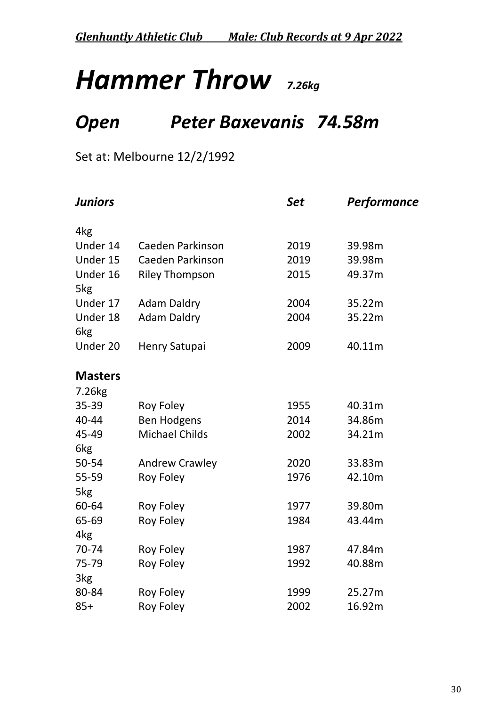## *Hammer Throw 7.26kg*

### *Open Peter Baxevanis 74.58m*

### Set at: Melbourne 12/2/1992

| <b>Juniors</b>              |                       | <b>Set</b> | Performance |
|-----------------------------|-----------------------|------------|-------------|
| 4kg                         |                       |            |             |
| Under 14                    | Caeden Parkinson      | 2019       | 39.98m      |
| Under 15                    | Caeden Parkinson      | 2019       | 39.98m      |
| Under 16<br>5kg             | <b>Riley Thompson</b> | 2015       | 49.37m      |
| Under 17                    | <b>Adam Daldry</b>    | 2004       | 35.22m      |
| Under 18<br>6 <sub>kg</sub> | <b>Adam Daldry</b>    | 2004       | 35.22m      |
| Under 20                    | <b>Henry Satupai</b>  | 2009       | 40.11m      |
| <b>Masters</b>              |                       |            |             |
| 7.26kg                      |                       |            |             |
| 35-39                       | <b>Roy Foley</b>      | 1955       | 40.31m      |
| 40-44                       | <b>Ben Hodgens</b>    | 2014       | 34.86m      |
| 45-49                       | <b>Michael Childs</b> | 2002       | 34.21m      |
| 6 <sub>kg</sub>             |                       |            |             |
| 50-54                       | <b>Andrew Crawley</b> | 2020       | 33.83m      |
| 55-59                       | <b>Roy Foley</b>      | 1976       | 42.10m      |
| 5kg                         |                       |            |             |
| 60-64                       | <b>Roy Foley</b>      | 1977       | 39.80m      |
| 65-69                       | <b>Roy Foley</b>      | 1984       | 43.44m      |
| 4 <sub>kg</sub>             |                       |            |             |
| 70-74                       | <b>Roy Foley</b>      | 1987       | 47.84m      |
| 75-79                       | <b>Roy Foley</b>      | 1992       | 40.88m      |
| 3kg                         |                       |            |             |
| 80-84                       | Roy Foley             | 1999       | 25.27m      |
| $85+$                       | <b>Roy Foley</b>      | 2002       | 16.92m      |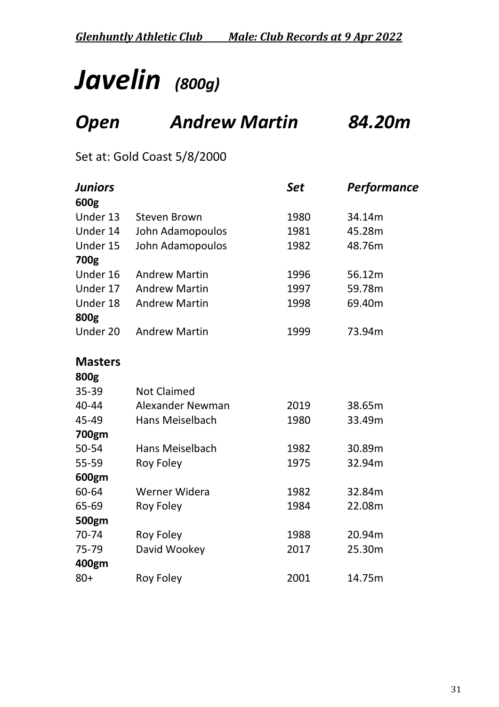## *Javelin (800g)*

### *Open Andrew Martin 84.20m*

Set at: Gold Coast 5/8/2000

| Juniors        |                         | Set  | Performance |
|----------------|-------------------------|------|-------------|
| 600g           |                         |      |             |
| Under 13       | <b>Steven Brown</b>     | 1980 | 34.14m      |
| Under 14       | John Adamopoulos        | 1981 | 45.28m      |
| Under 15       | John Adamopoulos        | 1982 | 48.76m      |
| 700g           |                         |      |             |
| Under 16       | <b>Andrew Martin</b>    | 1996 | 56.12m      |
| Under 17       | <b>Andrew Martin</b>    | 1997 | 59.78m      |
| Under 18       | <b>Andrew Martin</b>    | 1998 | 69.40m      |
| 800g           |                         |      |             |
| Under 20       | <b>Andrew Martin</b>    | 1999 | 73.94m      |
| <b>Masters</b> |                         |      |             |
| 800g           |                         |      |             |
| 35-39          | <b>Not Claimed</b>      |      |             |
| 40-44          | <b>Alexander Newman</b> | 2019 | 38.65m      |
| 45-49          | Hans Meiselbach         | 1980 | 33.49m      |
| 700gm          |                         |      |             |
| 50-54          | <b>Hans Meiselbach</b>  | 1982 | 30.89m      |
| 55-59          | <b>Roy Foley</b>        | 1975 | 32.94m      |
| 600gm          |                         |      |             |
| 60-64          | Werner Widera           | 1982 | 32.84m      |
| 65-69          | <b>Roy Foley</b>        | 1984 | 22.08m      |
| 500gm          |                         |      |             |
| 70-74          | <b>Roy Foley</b>        | 1988 | 20.94m      |
| 75-79          | David Wookey            | 2017 | 25.30m      |
| 400gm          |                         |      |             |
| $80+$          | <b>Roy Foley</b>        | 2001 | 14.75m      |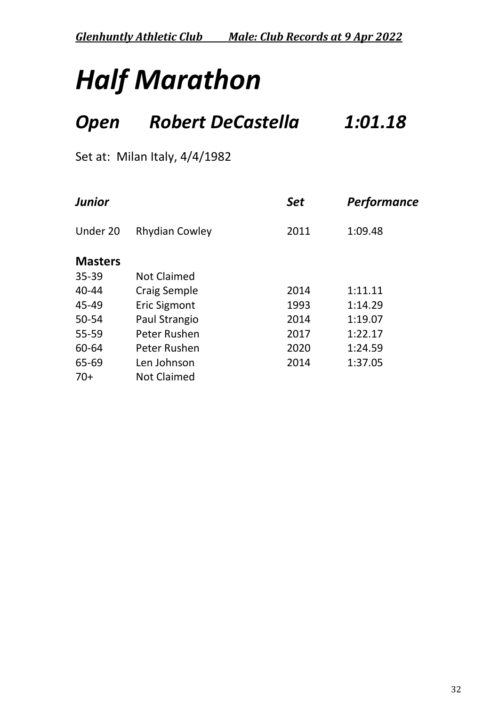*Glenhuntly Athletic Club Male: Club Records at 9 Apr 2022*

# *Half Marathon*

### *Open Robert DeCastella 1:01.18*

Set at: Milan Italy, 4/4/1982

| <b>Junior</b>  |                       | <b>Set</b> | <b>Performance</b> |  |
|----------------|-----------------------|------------|--------------------|--|
| Under 20       | <b>Rhydian Cowley</b> | 2011       | 1:09.48            |  |
| <b>Masters</b> |                       |            |                    |  |
| $35 - 39$      | <b>Not Claimed</b>    |            |                    |  |
| $40 - 44$      | <b>Craig Semple</b>   | 2014       | 1:11.11            |  |
| 45-49          | <b>Eric Sigmont</b>   | 1993       | 1:14.29            |  |
| 50-54          | Paul Strangio         | 2014       | 1:19.07            |  |
| 55-59          | Peter Rushen          | 2017       | 1:22.17            |  |
| 60-64          | Peter Rushen          | 2020       | 1:24.59            |  |
| 65-69          | Len Johnson           | 2014       | 1:37.05            |  |
| $70+$          | <b>Not Claimed</b>    |            |                    |  |